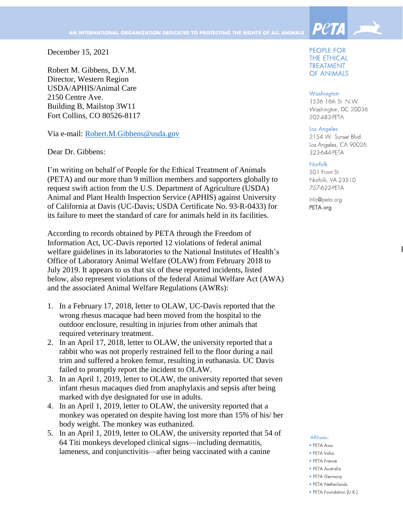December 15, 2021

Robert M. Gibbens, D.V.M. Director, Western Region USDA/APHIS/Animal Care 2150 Centre Ave. Building B, Mailstop 3W11 Fort Collins, CO 80526-8117

Via e-mail: [Robert.M.Gibbens@usda.gov](mailto:Robert.M.Gibbens@usda.gov)

Dear Dr. Gibbens:

I'm writing on behalf of People for the Ethical Treatment of Animals (PETA) and our more than 9 million members and supporters globally to request swift action from the U.S. Department of Agriculture (USDA) Animal and Plant Health Inspection Service (APHIS) against University of California at Davis (UC-Davis; USDA Certificate No. 93-R-0433) for its failure to meet the standard of care for animals held in its facilities.

According to records obtained by PETA through the Freedom of Information Act, UC-Davis reported 12 violations of federal animal welfare guidelines in its laboratories to the National Institutes of Health's Office of Laboratory Animal Welfare (OLAW) from February 2018 to July 2019. It appears to us that six of these reported incidents, listed below, also represent violations of the federal Animal Welfare Act (AWA) and the associated Animal Welfare Regulations (AWRs):

- 1. In a February 17, 2018, letter to OLAW, UC-Davis reported that the wrong rhesus macaque had been moved from the hospital to the outdoor enclosure, resulting in injuries from other animals that required veterinary treatment.
- 2. In an April 17, 2018, letter to OLAW, the university reported that a rabbit who was not properly restrained fell to the floor during a nail trim and suffered a broken femur, resulting in euthanasia. UC Davis failed to promptly report the incident to OLAW.
- 3. In an April 1, 2019, letter to OLAW, the university reported that seven infant rhesus macaques died from anaphylaxis and sepsis after being marked with dye designated for use in adults.
- 4. In an April 1, 2019, letter to OLAW, the university reported that a monkey was operated on despite having lost more than 15% of his/ her body weight. The monkey was euthanized.
- 5. In an April 1, 2019, letter to OLAW, the university reported that 54 of 64 Titi monkeys developed clinical signs—including dermatitis, lameness, and conjunctivitis—after being vaccinated with a canine

#### **PEOPLE FOR** THE ETHICAL **TREATMENT OF ANIMALS**

**PetA** 

#### Washington

1536 16th St. N.W. Washington, DC 20036 202-483-PETA

#### Los Angeles

2154 W. Sunset Blvd. Los Angeles, CA 90026 323-644-PETA

### Norfolk

501 Front St. Norfolk, VA 23510 757-622-PETA

Info@peta.org PETA.org

#### Affiliates:

- $\bullet$  PFTA Asia
- · PETA India
- PETA France
- PETA Australia
- PFTA Germany
- PETA Netherlands
- PETA Foundation (U.K.)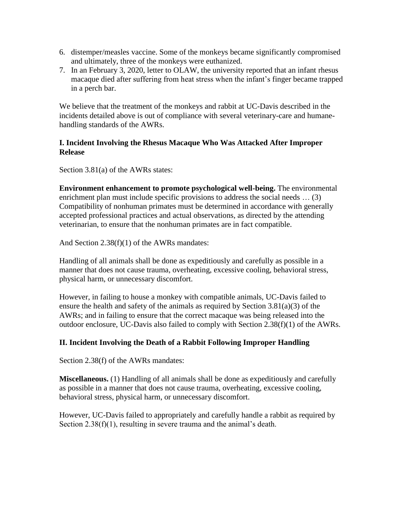- 6. distemper/measles vaccine. Some of the monkeys became significantly compromised and ultimately, three of the monkeys were euthanized.
- 7. In an February 3, 2020, letter to OLAW, the university reported that an infant rhesus macaque died after suffering from heat stress when the infant's finger became trapped in a perch bar.

We believe that the treatment of the monkeys and rabbit at UC-Davis described in the incidents detailed above is out of compliance with several veterinary-care and humanehandling standards of the AWRs.

## **I. Incident Involving the Rhesus Macaque Who Was Attacked After Improper Release**

Section 3.81(a) of the AWRs states:

**Environment enhancement to promote psychological well-being.** The environmental enrichment plan must include specific provisions to address the social needs ... (3) Compatibility of nonhuman primates must be determined in accordance with generally accepted professional practices and actual observations, as directed by the attending veterinarian, to ensure that the nonhuman primates are in fact compatible.

And Section 2.38(f)(1) of the AWRs mandates:

Handling of all animals shall be done as expeditiously and carefully as possible in a manner that does not cause trauma, overheating, excessive cooling, behavioral stress, physical harm, or unnecessary discomfort.

However, in failing to house a monkey with compatible animals, UC-Davis failed to ensure the health and safety of the animals as required by Section 3.81(a)(3) of the AWRs; and in failing to ensure that the correct macaque was being released into the outdoor enclosure, UC-Davis also failed to comply with Section 2.38(f)(1) of the AWRs.

# **II. Incident Involving the Death of a Rabbit Following Improper Handling**

Section 2.38(f) of the AWRs mandates:

**Miscellaneous.** (1) Handling of all animals shall be done as expeditiously and carefully as possible in a manner that does not cause trauma, overheating, excessive cooling, behavioral stress, physical harm, or unnecessary discomfort.

However, UC-Davis failed to appropriately and carefully handle a rabbit as required by Section 2.38(f)(1), resulting in severe trauma and the animal's death.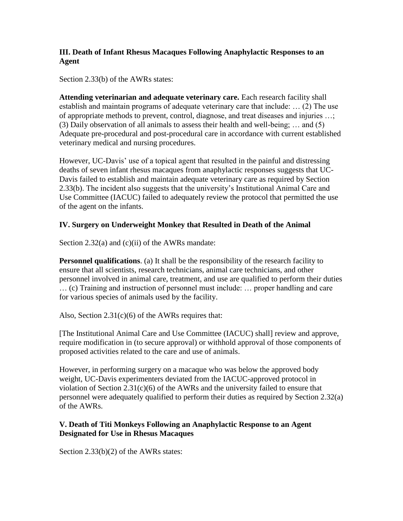# **III. Death of Infant Rhesus Macaques Following Anaphylactic Responses to an Agent**

Section 2.33(b) of the AWRs states:

**Attending veterinarian and adequate veterinary care.** Each research facility shall establish and maintain programs of adequate veterinary care that include: … (2) The use of appropriate methods to prevent, control, diagnose, and treat diseases and injuries …; (3) Daily observation of all animals to assess their health and well-being; … and (5) Adequate pre-procedural and post-procedural care in accordance with current established veterinary medical and nursing procedures.

However, UC-Davis' use of a topical agent that resulted in the painful and distressing deaths of seven infant rhesus macaques from anaphylactic responses suggests that UC-Davis failed to establish and maintain adequate veterinary care as required by Section 2.33(b). The incident also suggests that the university's Institutional Animal Care and Use Committee (IACUC) failed to adequately review the protocol that permitted the use of the agent on the infants.

# **IV. Surgery on Underweight Monkey that Resulted in Death of the Animal**

Section 2.32(a) and (c)(ii) of the AWRs mandate:

**Personnel qualifications**. (a) It shall be the responsibility of the research facility to ensure that all scientists, research technicians, animal care technicians, and other personnel involved in animal care, treatment, and use are qualified to perform their duties … (c) Training and instruction of personnel must include: … proper handling and care for various species of animals used by the facility.

Also, Section  $2.31(c)(6)$  of the AWRs requires that:

[The Institutional Animal Care and Use Committee (IACUC) shall] review and approve, require modification in (to secure approval) or withhold approval of those components of proposed activities related to the care and use of animals.

However, in performing surgery on a macaque who was below the approved body weight, UC-Davis experimenters deviated from the IACUC-approved protocol in violation of Section  $2.31(c)(6)$  of the AWRs and the university failed to ensure that personnel were adequately qualified to perform their duties as required by Section 2.32(a) of the AWRs.

### **V. Death of Titi Monkeys Following an Anaphylactic Response to an Agent Designated for Use in Rhesus Macaques**

Section 2.33(b)(2) of the AWRs states: